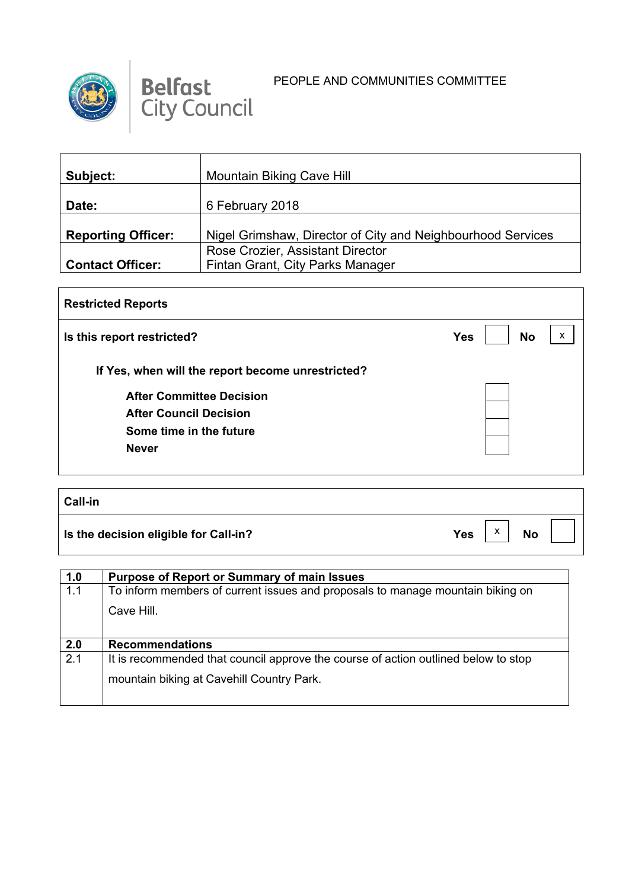



| <b>Mountain Biking Cave Hill</b>                                     |
|----------------------------------------------------------------------|
| 6 February 2018                                                      |
| Nigel Grimshaw, Director of City and Neighbourhood Services          |
| Rose Crozier, Assistant Director<br>Fintan Grant, City Parks Manager |
|                                                                      |

| <b>Restricted Reports</b>                         |            |           |   |
|---------------------------------------------------|------------|-----------|---|
| Is this report restricted?                        | <b>Yes</b> | <b>No</b> | X |
| If Yes, when will the report become unrestricted? |            |           |   |
| <b>After Committee Decision</b>                   |            |           |   |
| <b>After Council Decision</b>                     |            |           |   |
| Some time in the future                           |            |           |   |
| <b>Never</b>                                      |            |           |   |
|                                                   |            |           |   |

| <b>Call-in</b>                        |                                              |
|---------------------------------------|----------------------------------------------|
| Is the decision eligible for Call-in? | $\checkmark$<br><b>Yes</b><br><b>No</b><br>⋏ |

| 1.0 | <b>Purpose of Report or Summary of main Issues</b>                                 |
|-----|------------------------------------------------------------------------------------|
| 1.1 | To inform members of current issues and proposals to manage mountain biking on     |
|     | Cave Hill.                                                                         |
| 2.0 | <b>Recommendations</b>                                                             |
| 2.1 | It is recommended that council approve the course of action outlined below to stop |
|     | mountain biking at Cavehill Country Park.                                          |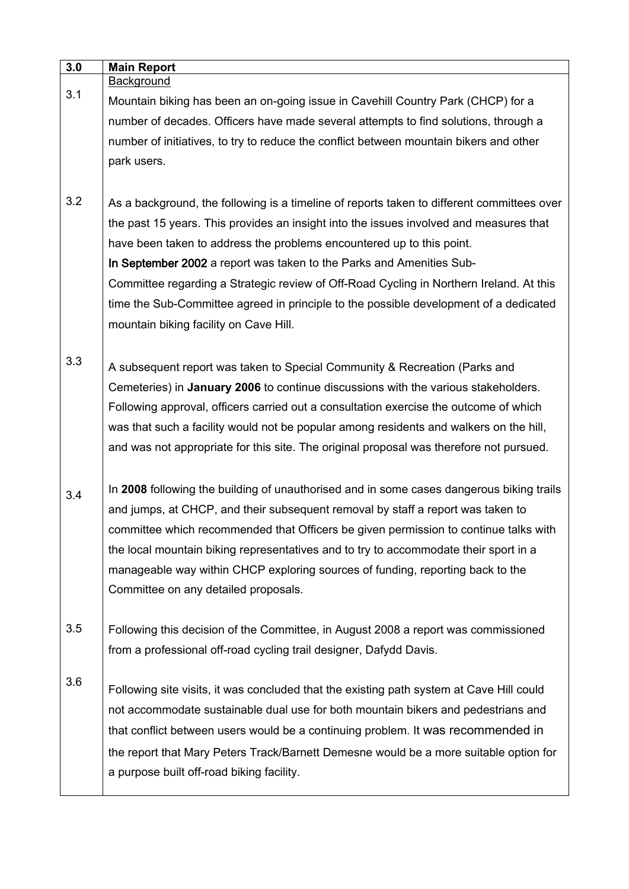| 3.0 | <b>Main Report</b>                                                                         |
|-----|--------------------------------------------------------------------------------------------|
|     | Background                                                                                 |
| 3.1 | Mountain biking has been an on-going issue in Cavehill Country Park (CHCP) for a           |
|     | number of decades. Officers have made several attempts to find solutions, through a        |
|     | number of initiatives, to try to reduce the conflict between mountain bikers and other     |
|     | park users.                                                                                |
|     |                                                                                            |
| 3.2 | As a background, the following is a timeline of reports taken to different committees over |
|     | the past 15 years. This provides an insight into the issues involved and measures that     |
|     | have been taken to address the problems encountered up to this point.                      |
|     | In September 2002 a report was taken to the Parks and Amenities Sub-                       |
|     | Committee regarding a Strategic review of Off-Road Cycling in Northern Ireland. At this    |
|     | time the Sub-Committee agreed in principle to the possible development of a dedicated      |
|     | mountain biking facility on Cave Hill.                                                     |
|     |                                                                                            |
| 3.3 |                                                                                            |
|     | A subsequent report was taken to Special Community & Recreation (Parks and                 |
|     | Cemeteries) in January 2006 to continue discussions with the various stakeholders.         |
|     | Following approval, officers carried out a consultation exercise the outcome of which      |
|     | was that such a facility would not be popular among residents and walkers on the hill,     |
|     | and was not appropriate for this site. The original proposal was therefore not pursued.    |
|     |                                                                                            |
| 3.4 | In 2008 following the building of unauthorised and in some cases dangerous biking trails   |
|     | and jumps, at CHCP, and their subsequent removal by staff a report was taken to            |
|     | committee which recommended that Officers be given permission to continue talks with       |
|     | the local mountain biking representatives and to try to accommodate their sport in a       |
|     | manageable way within CHCP exploring sources of funding, reporting back to the             |
|     | Committee on any detailed proposals.                                                       |
|     |                                                                                            |
| 3.5 | Following this decision of the Committee, in August 2008 a report was commissioned         |
|     | from a professional off-road cycling trail designer, Dafydd Davis.                         |
|     |                                                                                            |
| 3.6 | Following site visits, it was concluded that the existing path system at Cave Hill could   |
|     | not accommodate sustainable dual use for both mountain bikers and pedestrians and          |
|     | that conflict between users would be a continuing problem. It was recommended in           |
|     | the report that Mary Peters Track/Barnett Demesne would be a more suitable option for      |
|     | a purpose built off-road biking facility.                                                  |
|     |                                                                                            |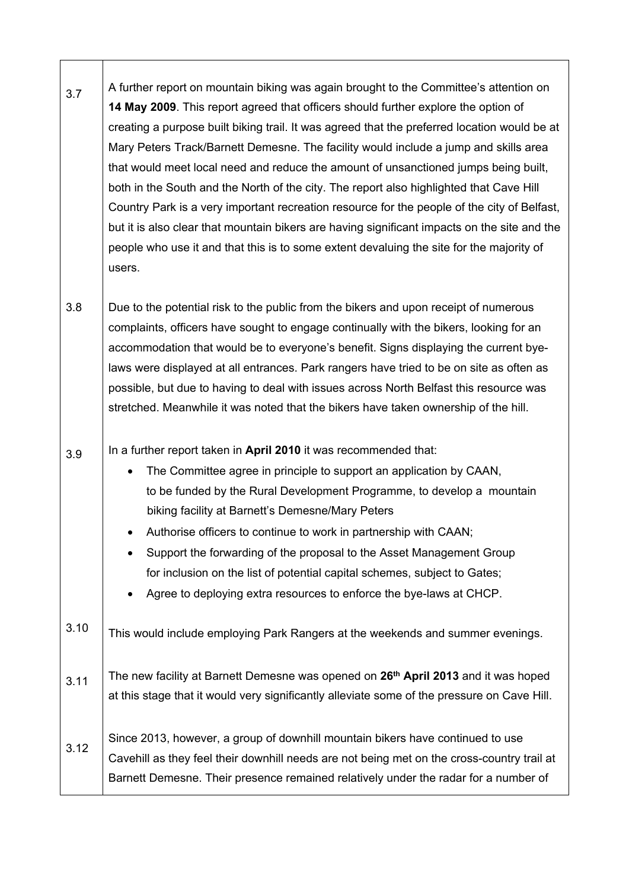| 3.7  | A further report on mountain biking was again brought to the Committee's attention on<br>14 May 2009. This report agreed that officers should further explore the option of<br>creating a purpose built biking trail. It was agreed that the preferred location would be at<br>Mary Peters Track/Barnett Demesne. The facility would include a jump and skills area                                                                                                                                                                                                                |
|------|------------------------------------------------------------------------------------------------------------------------------------------------------------------------------------------------------------------------------------------------------------------------------------------------------------------------------------------------------------------------------------------------------------------------------------------------------------------------------------------------------------------------------------------------------------------------------------|
|      | that would meet local need and reduce the amount of unsanctioned jumps being built,<br>both in the South and the North of the city. The report also highlighted that Cave Hill<br>Country Park is a very important recreation resource for the people of the city of Belfast,<br>but it is also clear that mountain bikers are having significant impacts on the site and the<br>people who use it and that this is to some extent devaluing the site for the majority of<br>users.                                                                                                |
| 3.8  | Due to the potential risk to the public from the bikers and upon receipt of numerous<br>complaints, officers have sought to engage continually with the bikers, looking for an<br>accommodation that would be to everyone's benefit. Signs displaying the current bye-<br>laws were displayed at all entrances. Park rangers have tried to be on site as often as<br>possible, but due to having to deal with issues across North Belfast this resource was<br>stretched. Meanwhile it was noted that the bikers have taken ownership of the hill.                                 |
| 3.9  | In a further report taken in April 2010 it was recommended that:<br>The Committee agree in principle to support an application by CAAN,<br>$\bullet$<br>to be funded by the Rural Development Programme, to develop a mountain<br>biking facility at Barnett's Demesne/Mary Peters<br>Authorise officers to continue to work in partnership with CAAN;<br>Support the forwarding of the proposal to the Asset Management Group<br>for inclusion on the list of potential capital schemes, subject to Gates;<br>Agree to deploying extra resources to enforce the bye-laws at CHCP. |
| 3.10 | This would include employing Park Rangers at the weekends and summer evenings.                                                                                                                                                                                                                                                                                                                                                                                                                                                                                                     |
| 3.11 | The new facility at Barnett Demesne was opened on 26 <sup>th</sup> April 2013 and it was hoped<br>at this stage that it would very significantly alleviate some of the pressure on Cave Hill.                                                                                                                                                                                                                                                                                                                                                                                      |
| 3.12 | Since 2013, however, a group of downhill mountain bikers have continued to use<br>Cavehill as they feel their downhill needs are not being met on the cross-country trail at<br>Barnett Demesne. Their presence remained relatively under the radar for a number of                                                                                                                                                                                                                                                                                                                |

 $\sqrt{ }$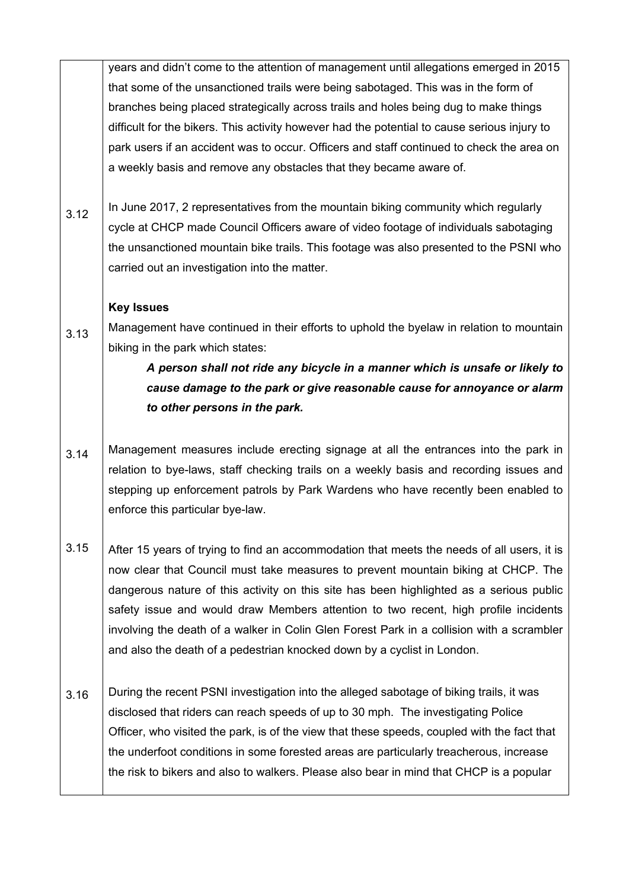years and didn't come to the attention of management until allegations emerged in 2015 that some of the unsanctioned trails were being sabotaged. This was in the form of branches being placed strategically across trails and holes being dug to make things difficult for the bikers. This activity however had the potential to cause serious injury to park users if an accident was to occur. Officers and staff continued to check the area on a weekly basis and remove any obstacles that they became aware of.

3.12 In June 2017, 2 representatives from the mountain biking community which regularly cycle at CHCP made Council Officers aware of video footage of individuals sabotaging the unsanctioned mountain bike trails. This footage was also presented to the PSNI who carried out an investigation into the matter.

## **Key Issues**

3.13 Management have continued in their efforts to uphold the byelaw in relation to mountain biking in the park which states:

## *A person shall not ride any bicycle in a manner which is unsafe or likely to cause damage to the park or give reasonable cause for annoyance or alarm to other persons in the park.*

- 3.14 Management measures include erecting signage at all the entrances into the park in relation to bye-laws, staff checking trails on a weekly basis and recording issues and stepping up enforcement patrols by Park Wardens who have recently been enabled to enforce this particular bye-law.
- 3.15 After 15 years of trying to find an accommodation that meets the needs of all users, it is now clear that Council must take measures to prevent mountain biking at CHCP. The dangerous nature of this activity on this site has been highlighted as a serious public safety issue and would draw Members attention to two recent, high profile incidents involving the death of a walker in Colin Glen Forest Park in a collision with a scrambler and also the death of a pedestrian knocked down by a cyclist in London.
- 3.16 During the recent PSNI investigation into the alleged sabotage of biking trails, it was disclosed that riders can reach speeds of up to 30 mph. The investigating Police Officer, who visited the park, is of the view that these speeds, coupled with the fact that the underfoot conditions in some forested areas are particularly treacherous, increase the risk to bikers and also to walkers. Please also bear in mind that CHCP is a popular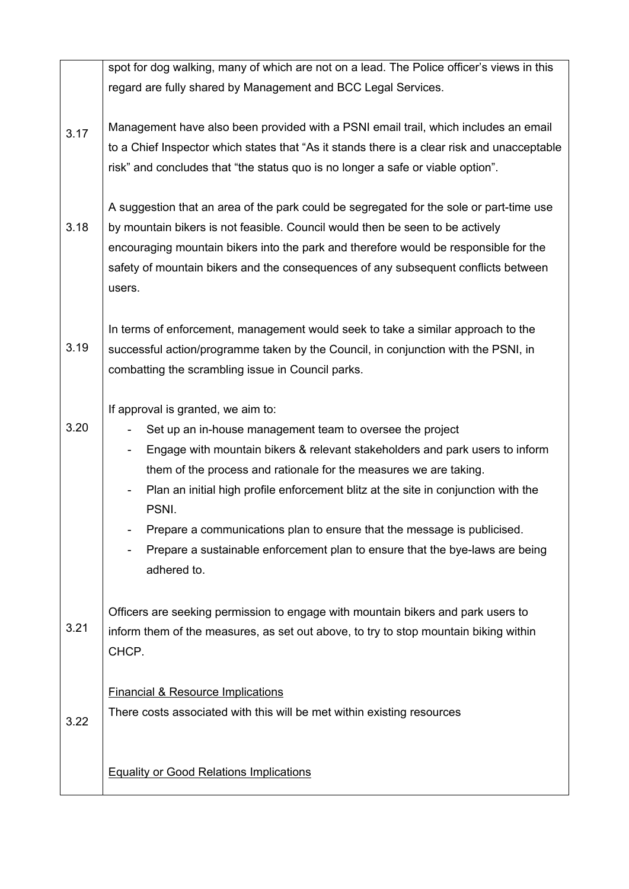|      | spot for dog walking, many of which are not on a lead. The Police officer's views in this                                                                                                                                                                                                                                                                                                                                                                                                                                          |
|------|------------------------------------------------------------------------------------------------------------------------------------------------------------------------------------------------------------------------------------------------------------------------------------------------------------------------------------------------------------------------------------------------------------------------------------------------------------------------------------------------------------------------------------|
|      |                                                                                                                                                                                                                                                                                                                                                                                                                                                                                                                                    |
|      | regard are fully shared by Management and BCC Legal Services.                                                                                                                                                                                                                                                                                                                                                                                                                                                                      |
| 3.17 | Management have also been provided with a PSNI email trail, which includes an email<br>to a Chief Inspector which states that "As it stands there is a clear risk and unacceptable<br>risk" and concludes that "the status quo is no longer a safe or viable option".                                                                                                                                                                                                                                                              |
| 3.18 | A suggestion that an area of the park could be segregated for the sole or part-time use<br>by mountain bikers is not feasible. Council would then be seen to be actively<br>encouraging mountain bikers into the park and therefore would be responsible for the<br>safety of mountain bikers and the consequences of any subsequent conflicts between<br>users.                                                                                                                                                                   |
| 3.19 | In terms of enforcement, management would seek to take a similar approach to the<br>successful action/programme taken by the Council, in conjunction with the PSNI, in<br>combatting the scrambling issue in Council parks.                                                                                                                                                                                                                                                                                                        |
| 3.20 | If approval is granted, we aim to:<br>Set up an in-house management team to oversee the project<br>Engage with mountain bikers & relevant stakeholders and park users to inform<br>-<br>them of the process and rationale for the measures we are taking.<br>Plan an initial high profile enforcement blitz at the site in conjunction with the<br>PSNI.<br>Prepare a communications plan to ensure that the message is publicised.<br>Prepare a sustainable enforcement plan to ensure that the bye-laws are being<br>adhered to. |
| 3.21 | Officers are seeking permission to engage with mountain bikers and park users to<br>inform them of the measures, as set out above, to try to stop mountain biking within<br>CHCP.                                                                                                                                                                                                                                                                                                                                                  |
| 3.22 | <b>Financial &amp; Resource Implications</b><br>There costs associated with this will be met within existing resources                                                                                                                                                                                                                                                                                                                                                                                                             |
|      | <b>Equality or Good Relations Implications</b>                                                                                                                                                                                                                                                                                                                                                                                                                                                                                     |